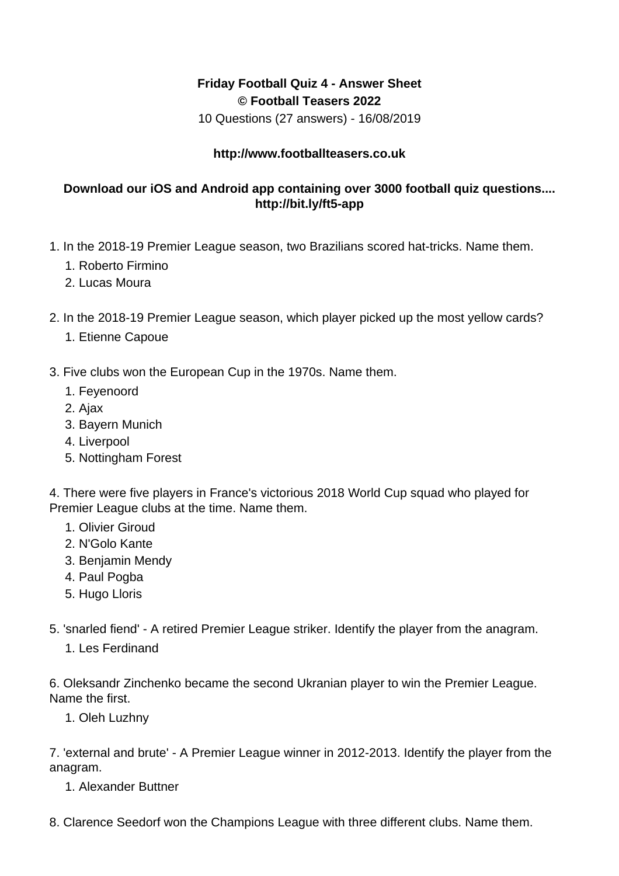## **Friday Football Quiz 4 - Answer Sheet © Football Teasers 2022**

10 Questions (27 answers) - 16/08/2019

## **http://www.footballteasers.co.uk**

## **Download our iOS and Android app containing over 3000 football quiz questions.... http://bit.ly/ft5-app**

- 1. In the 2018-19 Premier League season, two Brazilians scored hat-tricks. Name them.
	- 1. Roberto Firmino
	- 2. Lucas Moura
- 2. In the 2018-19 Premier League season, which player picked up the most yellow cards?
	- 1. Etienne Capoue
- 3. Five clubs won the European Cup in the 1970s. Name them.
	- 1. Feyenoord
	- 2. Ajax
	- 3. Bayern Munich
	- 4. Liverpool
	- 5. Nottingham Forest

4. There were five players in France's victorious 2018 World Cup squad who played for Premier League clubs at the time. Name them.

- 1. Olivier Giroud
- 2. N'Golo Kante
- 3. Benjamin Mendy
- 4. Paul Pogba
- 5. Hugo Lloris
- 5. 'snarled fiend' A retired Premier League striker. Identify the player from the anagram.
	- 1. Les Ferdinand

6. Oleksandr Zinchenko became the second Ukranian player to win the Premier League. Name the first.

1. Oleh Luzhny

7. 'external and brute' - A Premier League winner in 2012-2013. Identify the player from the anagram.

1. Alexander Buttner

8. Clarence Seedorf won the Champions League with three different clubs. Name them.